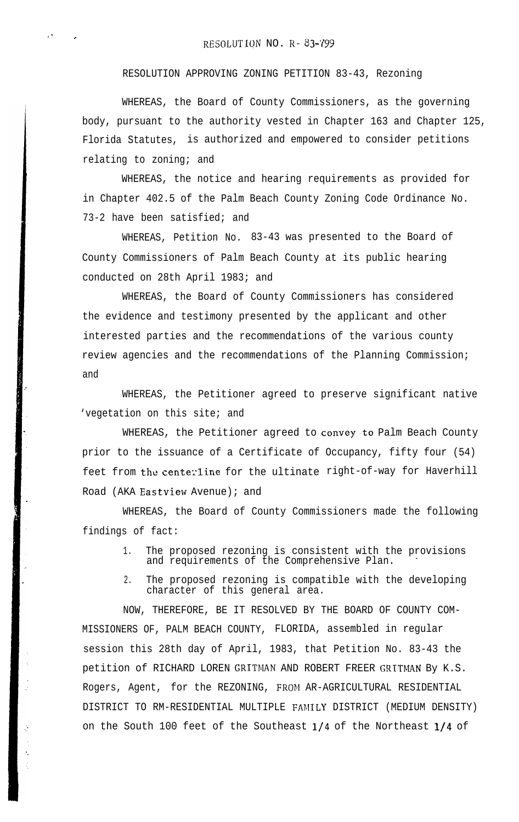I' .

RESOLUTION APPROVING ZONING PETITION 83-43, Rezoning

WHEREAS, the Board of County Commissioners, as the governing body, pursuant to the authority vested in Chapter 163 and Chapter 125, Florida Statutes, is authorized and empowered to consider petitions relating to zoning; and

WHEREAS, the notice and hearing requirements as provided for in Chapter 402.5 of the Palm Beach County Zoning Code Ordinance No. 73-2 have been satisfied; and

WHEREAS, Petition No. 83-43 was presented to the Board of County Commissioners of Palm Beach County at its public hearing conducted on 28th April 1983; and

WHEREAS, the Board of County Commissioners has considered the evidence and testimony presented by the applicant and other interested parties and the recommendations of the various county review agencies and the recommendations of the Planning Commission; and

WHEREAS, the Petitioner agreed to preserve significant native 'vegetation on this site; and

WHEREAS, the Petitioner agreed to convey.to Palm Beach County prior to the issuance of a Certificate of Occupancy, fifty four (54) feet from the centerline for the ultinate right-of-way for Haverhill Road (AKA Eastview Avenue); and

WHEREAS, the Board of County Commissioners made the following findings of fact:

- 1. The proposed rezoning is consistent with the provisions and requirements of the Comprehensive Plan.
- 2. The proposed rezoning is compatible with the developing character of this general area.

NOW, THEREFORE, BE IT RESOLVED BY THE BOARD OF COUNTY COM-MISSIONERS OF, PALM BEACH COUNTY, FLORIDA, assembled in regular session this 28th day of April, 1983, that Petition No. 83-43 the petition of RICHARD LOREN GRITMAN AND ROBERT FREER GRITMAN By K.S. Rogers, Agent, for the REZONING, FROM AR-AGRICULTURAL RESIDENTIAL DISTRICT TO RM-RESIDENTIAL MULTIPLE FAMILY DISTRICT (MEDIUM DENSITY) on the South 100 feet of the Southeast l/4 of the Northeast l/4 of